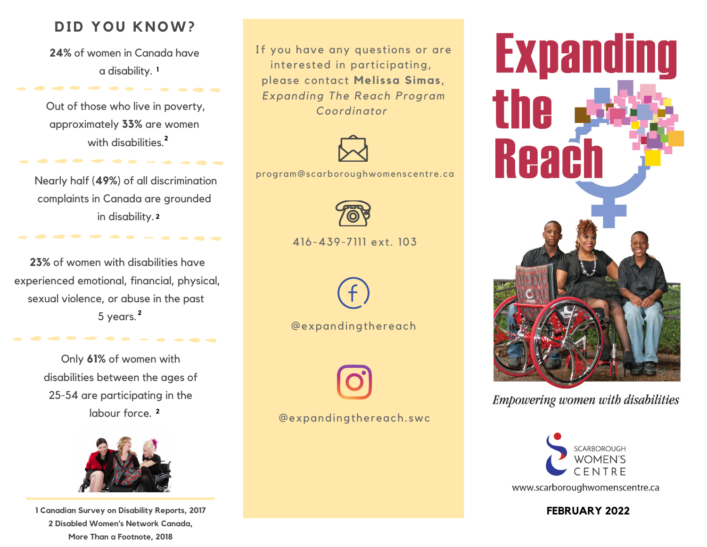## **DID YOU KNOW?**

**24%** of women in Canada have a disability. **1**

. . . . . . . .

Out of those who live in poverty, approximately **33%** are women with disabilities. **2**

. . . . . . . . . . .

Nearly half (**49%**) of all discrimination complaints in Canada are grounded in disability. **2**

**23%** of women with disabilities have experienced emotional, financial, physical, sexual violence, or abuse in the past 5 years. **2**

> Only **61%** of women with disabilities between the ages of 25-54 are participating in the labour force. **2**



**1 Canadian Survey on Disability Reports, 2017 2 Disabled Women's Network Canada, More Than a Footnote, 2018**

If you have any questions or are interested in participating, please contact **Melissa Simas**, *Expanding The Reach Program Coordinator*



program@scarboroughwomenscentre.ca



416-439-7111 ext. 103



@expandingthereach



@expandingthereach. swc



**Empowering women with disabilities**